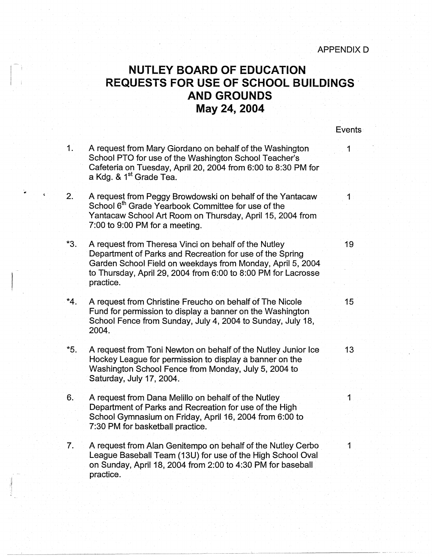## ! **NUTLEY BOARD OF EDUCATION REQUESTS FOR USE OF SCHOOL BUILDINGS AND GROUNDS May 24, 2004**

**Events** 

- 1. A request from Mary Giordano on behalf of the Washington 1 School PTO for use of the Washington School Teacher's Cafeteria on Tuesday, April 20, 2004 from 6:00 to 8:30 PM for a Kdg. & 1<sup>st</sup> Grade Tea.
- 2. A request from Peggy Browdowski on behalf of the Yantacaw 1 School 6<sup>th</sup> Grade Yearbook Committee for use of the Yantacaw School Art Room on Thursday, April 15, 2004 from 7:00 to 9:00 PM for a meeting.
- \*3. A request from Theresa Vinci on behalf of the Nutley 19 Department of Parks and Recreation for use of the Spring Garden School Field on weekdays from Monday, April 5, 2004 to Thursday, April 29, 2004 from 6:00 to 8:00 PM for Lacrosse practice.
- \*4. A request from Christine Freucho on behalf of The Nicole 15 Fund for permission to display a banner on the Washington School Fence from Sunday, July 4, 2004 to Sunday, July 18, 2004.
- \*5. A request from Toni Newton on behalf of the Nutley Junior Ice 13 Hockey League for permission to display a banner on the Washington School Fence from Monday, July 5, 2004 to Saturday, July 17, 2004.
- 6. A request from Dana Melillo on behalf of the Nutley Department of Parks and Recreation for use of the High School Gymnasium on Friday, April 16, 2004 from 6:00 to 7:30 PM for basketball practice.
- 7. A request from Alan Genitempo on behalf of the Nutley Cerbo 1 League Baseball Team (13U) for use of the High School Oval on Sunday, April 18, 2004 from 2:00 to 4:30 PM for baseball practice.

:J .I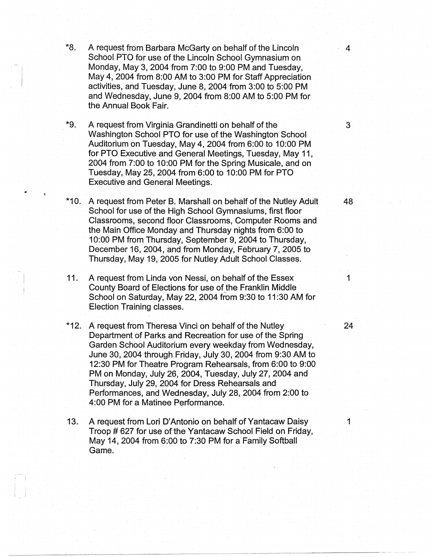- \*8. A request from Barbara McGarty on behalf of the Lincoln 4 School PTO for use of the Lincoln School Gymnasium on Monday, May 3, 2004 from 7:00 to 9:00 PM and Tuesday, May 4, 2004 from 8:00 AM to 3:00 PM for Staff Appreciation activities, and Tuesday, June 8, 2004 from 3:00 to 5:00 PM and Wednesday, June 9, 2004 from 8:00 AM to 5:00 PM for the Annual Book Fair.
- \*9. A request from Virginia Grandinetti on behalf of the 3 Washington School PTO for use of the Washington School Auditorium on Tuesday, May 4, 2004 from 6:00 to 10:00 PM for PTO Executive and General Meetings, Tuesday, May 11, 2004 from 7:00 to 10:00 PM for the Spring Musicale, and on Tuesday, May 25, 2004 from 6:00 to 10:00 PM for PTO Executive and General Meetings.

•

i i

- \*10. A request from Peter B. Marshall on behalf of the Nutley Adult 48 School for use of the High School Gymnasiums, first floor Classrooms, second floor Classrooms, Computer Rooms and the Main Office Monday and Thursday nights from 6:00 to 10:00 PM from Thursday, September 9, 2004 to Thursday, December 16, 2004, and from Monday, February 7, 2005 to Thursday, May 19, 2005 for Nutley Adult School Classes.
- 11. A request from Linda von Nessi, on behalf of the Essex 1 County Board of Elections for use of\_the Franklin Middle School on Saturday, May 22, 2004 from 9:30 to 11 :30 AM for Election Training classes.
- \*12. A request from Theresa Vinci on behalf of the Nutley 24 Department of Parks and Recreation for use of the Spring Garden School Auditorium every weekday from Wednesday, June 30, 2004 through Friday, July 30, 2004 from 9:30 AM to 12:30 PM for Theatre Program Rehearsals, from 6:00 to 9:00 PM on Monday, July 26, 2004, Tuesday, July 27, 2004 and Thursday, July 29, 2004 for Dress Rehearsals and Performances, and Wednesday, July 28, 2004 from 2:00 to 4:00 PM for a Matinee Performance.
- 13. A request from Lori D'Antonio on behalf of Yantacaw Daisy 1 Troop #627 for use of the Yantacaw School Field on Friday, May 14, 2004 from 6:00 to 7:30 PM for a Family Softball Game.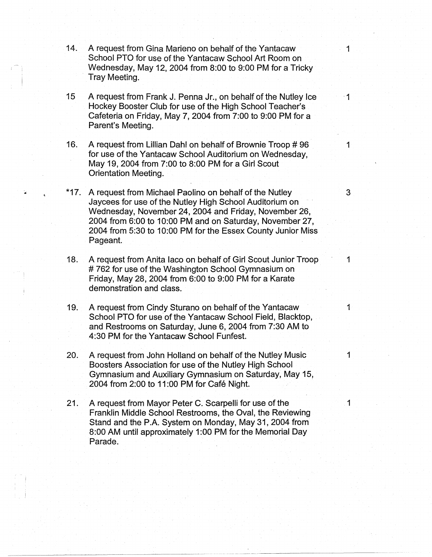- 14. A request from Gina Marieno on behalf of the Yantacaw School PTO for use of the Yantacaw School Art Room on Wednesday, May 12, 2004 from 8:00 to 9:00 PM for a Tricky Tray Meeting.
- 15 A request from Frank J. Penna Jr., on behalf of the Nutley Ice 1 Hockey Booster Club for use of the High School Teacher's Cafeteria on Friday, May 7, 2004 from 7:00 to 9:00 PM for a Parent's Meeting.
- 16. A request from Lillian Dahl on behalf of Brownie Troop # 96 1 for use of the Yantacaw School Auditorium on Wednesday, May 19, 2004 from 7:00 to 8:00 PM for a Girl Scout Orientation Meeting.
- \*17. A request from Michael Paolino on behalf of the Nutley  $\sim$  3 Jaycees for use of the Nutley High School Auditorium on Wednesday, November 24, 2004 and Friday, November 26, 2004 from 6:00 to 10:00 PM and on Saturday, November 27, 2004 from 5:30 to 10:00 PM for the Essex County Junior Miss Pageant.
- 18. A request from Anita Iaco on behalf of Girl Scout Junior Troop 1 # 762 for use of the Washington School Gymnasium on Friday, May 28, 2004 from 6:00 to 9:00 PM for a Karate demonstration and class.
- 19. A request from Cindy Sturano on behalf of the Yantacaw 1 School PTO for use of the Yantacaw School Field, Blacktop, and Restrooms on Saturday, June 6, 2004 from 7:30 AM to 4:30 PM for the Yantacaw School Funfest.
- 20. A request from John Holland on behalf of the Nutley Music 1 Boosters Association for use of the Nutley High School Gymnasium and Auxiliary Gymnasium on Saturday, May 15, 2004 from 2:00 to 11 :00 PM for Cafe Night.
- 21. A request from Mayor Peter C. Scarpelli for use of the 1 Franklin Middle School Restrooms, the Oval, the Reviewing Stand and the P.A. System on Monday, May 31, 2004 from 8:00 AM until approximately 1 :00 PM for the Memorial Day Parade.

~~~~~~~- ~-----~~-----~~-------~-----